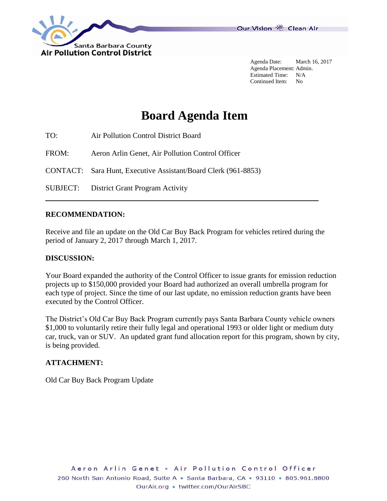

Agenda Date: March 16, 2017 Agenda Placement: Admin. Estimated Time: N/A Continued Item: No

# **Board Agenda Item**

- TO: Air Pollution Control District Board
- FROM: Aeron Arlin Genet, Air Pollution Control Officer
- CONTACT: Sara Hunt, Executive Assistant/Board Clerk (961-8853)
- SUBJECT: District Grant Program Activity

#### **RECOMMENDATION:**

Receive and file an update on the Old Car Buy Back Program for vehicles retired during the period of January 2, 2017 through March 1, 2017.

#### **DISCUSSION:**

Your Board expanded the authority of the Control Officer to issue grants for emission reduction projects up to \$150,000 provided your Board had authorized an overall umbrella program for each type of project. Since the time of our last update, no emission reduction grants have been executed by the Control Officer.

The District's Old Car Buy Back Program currently pays Santa Barbara County vehicle owners \$1,000 to voluntarily retire their fully legal and operational 1993 or older light or medium duty car, truck, van or SUV. An updated grant fund allocation report for this program, shown by city, is being provided.

#### **ATTACHMENT:**

Old Car Buy Back Program Update